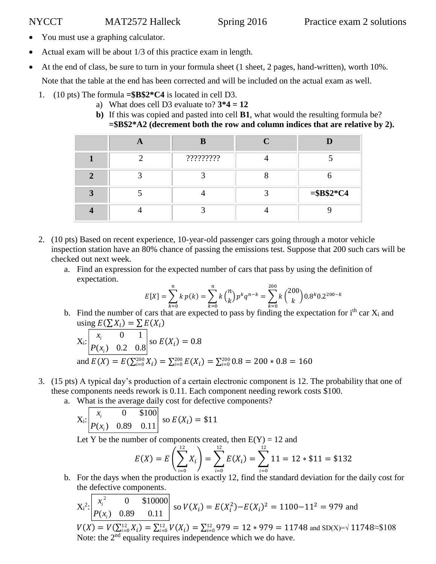- You must use a graphing calculator.
- Actual exam will be about 1/3 of this practice exam in length.
- At the end of class, be sure to turn in your formula sheet (1 sheet, 2 pages, hand-written), worth 10%.

Note that the table at the end has been corrected and will be included on the actual exam as well.

- 1. (10 pts) The formula **=\$B\$2\*C4** is located in cell D3.
	- a) What does cell D3 evaluate to? **3\*4 = 12**
	- **b)** If this was copied and pasted into cell **B1**, what would the resulting formula be? **=\$B\$2\*A2 (decrement both the row and column indices that are relative by 2).**

|  | R         |             |
|--|-----------|-------------|
|  | ????????? |             |
|  |           |             |
|  |           | $= $B$2*C4$ |
|  |           |             |

- 2. (10 pts) Based on recent experience, 10-year-old passenger cars going through a motor vehicle inspection station have an 80% chance of passing the emissions test. Suppose that 200 such cars will be checked out next week.
	- a. Find an expression for the expected number of cars that pass by using the definition of expectation.

$$
E[X] = \sum_{k=0}^{n} k p(k) = \sum_{k=0}^{n} k {n \choose k} p^{k} q^{n-k} = \sum_{k=0}^{200} k {200 \choose k} 0.8^{k} 0.2^{200-k}
$$

b. Find the number of cars that are expected to pass by finding the expectation for i<sup>th</sup> car  $X_i$  and using  $E(\sum X_i) = \sum E(X_i)$ 

$$
X_i: \begin{bmatrix} x_i & 0 & 1 \\ P(x_i) & 0.2 & 0.8 \end{bmatrix} \text{ so } E(X_i) = 0.8
$$
  
and  $E(X) = E(\sum_{i=0}^{200} X_i) = \sum_{i=0}^{200} E(X_i) = \sum_{i=0}^{200} 0.8 = 200 * 0.8 = 160$ 

- 3. (15 pts) A typical day's production of a certain electronic component is 12. The probability that one of these components needs rework is 0.11. Each component needing rework costs \$100.
	- a. What is the average daily cost for defective components?

$$
X_i: \begin{bmatrix} x_i & 0 & \$100 \\ P(x_i) & 0.89 & 0.11 \end{bmatrix} \text{ so } E(X_i) = \$11
$$

Let Y be the number of components created, then  $E(Y) = 12$  and

$$
E(X) = E\left(\sum_{i=0}^{12} X_i\right) = \sum_{i=0}^{12} E(X_i) = \sum_{i=0}^{12} 11 = 12 * $11 = $132
$$

b. For the days when the production is exactly 12, find the standard deviation for the daily cost for the defective components.

$$
X_i^2: \begin{bmatrix} x_i^2 & 0 & \$10000 \\ P(x_i) & 0.89 & 0.11 \end{bmatrix} \text{ so } V(X_i) = E(X_i^2) - E(X_i)^2 = 1100 - 11^2 = 979 \text{ and } V(X) = V(\sum_{i=0}^{12} X_i) = \sum_{i=0}^{12} V(X_i) = \sum_{i=0}^{12} 979 = 12 * 979 = 11748 \text{ and } SD(X) = \sqrt{11748} \approx \$108
$$
  
Note: the 2<sup>nd</sup> equality requires independence which we do have.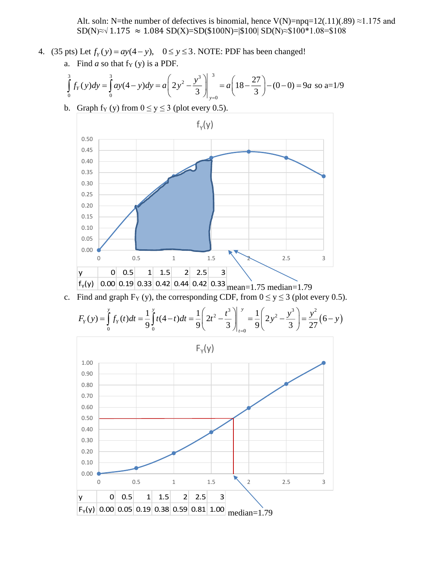Alt. soln: N=the number of defectives is binomial, hence  $V(N)=npq=12(.11)(.89) \approx 1.175$  and SD(N)≈√ 1.175  $\approx$  1.084 SD(X)=SD(\$100N)=|\$100| SD(N)≈\$100\*1.08=\$108

- 4. (35 pts) Let  $f_Y(y) = ay(4-y)$ ,  $0 \le y \le 3$ . NOTE: PDF has been changed!
	- a. Find  $a$  so that  $f_Y(y)$  is a PDF.

$$
\int_{0}^{3} f_{Y}(y) dy = \int_{0}^{3} ay(4-y) dy = a \left(2y^{2} - \frac{y^{3}}{3}\right)\Big|_{y=0}^{3} = a \left(18 - \frac{27}{3}\right) - (0 - 0) = 9a \text{ so } a = 1/9
$$

b. Graph f<sub>Y</sub> (y) from  $0 \le y \le 3$  (plot every 0.5).



c. Find and graph  $F_Y(y)$ , the corresponding CDF, from  $0 \le y \le 3$  (plot every 0.5).

$$
F_Y(y) = \int_0^y f_Y(t)dt = \frac{1}{9}\int_0^y t(4-t)dt = \frac{1}{9}\left(2t^2 - \frac{t^3}{3}\right)\Big|_{t=0}^y = \frac{1}{9}\left(2y^2 - \frac{y^3}{3}\right) = \frac{y^2}{27}(6-y)
$$

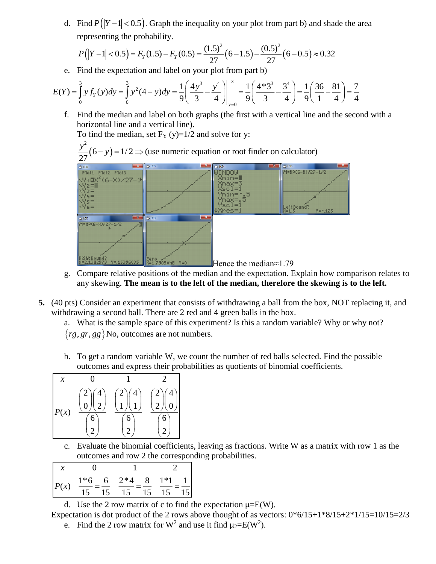d. Find  $P(|Y-1| < 0.5)$ . Graph the inequality on your plot from part b) and shade the area representing the probability.

$$
P(|Y-1|<0.5) = F_Y(1.5) - F_Y(0.5) = \frac{(1.5)^2}{27} (6-1.5) - \frac{(0.5)^2}{27} (6-0.5) \approx 0.32
$$

e. Find the expectation and label on your plot from part b)

$$
E(Y) = \int_{0}^{3} y f_{Y}(y) dy = \int_{0}^{3} y^{2} (4 - y) dy = \frac{1}{9} \left( \frac{4y^{3}}{3} - \frac{y^{4}}{4} \right) \Big|_{y=0}^{3} = \frac{1}{9} \left( \frac{4 \cdot 3^{3}}{3} - \frac{3^{4}}{4} \right) = \frac{1}{9} \left( \frac{36}{1} - \frac{81}{4} \right) = \frac{7}{4}
$$

f. Find the median and label on both graphs (the first with a vertical line and the second with a horizontal line and a vertical line).

To find the median, set  $F_Y(y)=1/2$  and solve for y:

2

 $(6-y)=1/2 \implies$  (use numeric equation or root finder on calculator) *y*



- g. Compare relative positions of the median and the expectation. Explain how comparison relates to any skewing. **The mean is to the left of the median, therefore the skewing is to the left.**
- **5.** (40 pts) Consider an experiment that consists of withdrawing a ball from the box, NOT replacing it, and withdrawing a second ball. There are 2 red and 4 green balls in the box.

a. What is the sample space of this experiment? Is this a random variable? Why or why not?  $\{rg, gr, gg\}$  No, outcomes are not numbers.

b. To get a random variable W, we count the number of red balls selected. Find the possible outcomes and express their probabilities as quotients of binomial coefficients.



c. Evaluate the binomial coefficients, leaving as fractions. Write W as a matrix with row 1 as the outcomes and row 2 the corresponding probabilities.

$$
\begin{array}{|rrr} x & 0 & 1 & 2 \\ \hline P(x) & \frac{1*6}{15} = \frac{6}{15} & \frac{2*4}{15} = \frac{8}{15} & \frac{1*1}{15} = \frac{1}{15} \\ \end{array}
$$

d. Use the 2 row matrix of c to find the expectation  $\mu = E(W)$ .

Expectation is dot product of the 2 rows above thought of as vectors:  $0*6/15+1*8/15+2*1/15=10/15=2/3$ e. Find the 2 row matrix for W<sup>2</sup> and use it find  $\mu_2 = E(W^2)$ .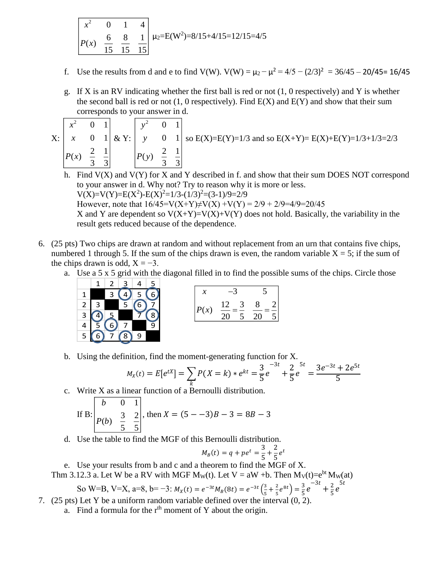$$
\begin{array}{|c|c|c|c|c|}\n\hline\nx^2 & 0 & 1 & 4 \\
\hline\nP(x) & 6 & 8 & 1 \\
\hline\n15 & 15 & 15 & 15\n\end{array}\n\mu_2 = E(W^2) = 8/15 + 4/15 = 12/15 = 4/5
$$

- f. Use the results from d and e to find V(W).  $V(W) = \mu_2 \mu^2 = 4/5 (2/3)^2 = 36/45 20/45 = 16/45$
- g. If X is an RV indicating whether the first ball is red or not (1, 0 respectively) and Y is whether the second ball is red or not  $(1, 0$  respectively). Find  $E(X)$  and  $E(Y)$  and show that their sum corresponds to your answer in d.

| $X$ : | $\mathcal{X}$ | $\overline{0}$ | $\mathbf{1}$ | & Y: | $\mathcal{Y}$ |  | S |
|-------|---------------|----------------|--------------|------|---------------|--|---|
|       | P(x)          |                |              |      | (v)           |  |   |
|       |               |                |              |      |               |  |   |

so  $E(X)=E(Y)=1/3$  and so  $E(X+Y)=E(X)+E(Y)=1/3+1/3=2/3$ 

- h. Find  $V(X)$  and  $V(Y)$  for X and Y described in f. and show that their sum DOES NOT correspond to your answer in d. Why not? Try to reason why it is more or less.  $V(X)=V(Y)=E(X^2)-E(X)^2=1/3-(1/3)^2=(3-1)/9=2/9$ However, note that  $16/45=V(X+Y)\neq V(X)+V(Y) = 2/9 + 2/9 = 4/9 = 20/45$ X and Y are dependent so  $V(X+Y)=V(X)+V(Y)$  does not hold. Basically, the variability in the result gets reduced because of the dependence.
- 6. (25 pts) Two chips are drawn at random and without replacement from an urn that contains five chips, numbered 1 through 5. If the sum of the chips drawn is even, the random variable  $X = 5$ ; if the sum of the chips drawn is odd,  $X = -3$ .
	- a. Use a 5 x 5 grid with the diagonal filled in to find the possible sums of the chips. Circle those



$$
\begin{array}{|c|c|}\n x & -3 & 5 \\
\hline\n P(x) & \frac{12}{20} = \frac{3}{5} & \frac{8}{20} = \frac{2}{5}\n\end{array}
$$

b. Using the definition, find the moment-generating function for X.

$$
M_X(t) = E[e^{tX}] = \sum_k P(X = k) * e^{kt} = \frac{3}{5}e^{-3t} + \frac{2}{5}e^{-5t} = \frac{3e^{-3t} + 2e^{5t}}{5}
$$

c. Write X as a linear function of a Bernoulli distribution.

If B: 
$$
\begin{bmatrix} b & 0 & 1 \ P(b) & \frac{3}{5} & \frac{2}{5} \end{bmatrix}
$$
, then  $X = (5 - -3)B - 3 = 8B - 3$ 

d. Use the table to find the MGF of this Bernoulli distribution.

$$
M_B(t) = q + pe^t = \frac{3}{5} + \frac{2}{5}e^t
$$

e. Use your results from b and c and a theorem to find the MGF of X.

Thm 3.12.3 a. Let W be a RV with MGF M<sub>W</sub>(t). Let V = aW +b. Then  $M_V(t)=e^{bt}M_W(at)$ 

So W=B, V=X, a=8, b=-3: 
$$
M_X(t) = e^{-3t}M_B(8t) = e^{-3t}(\frac{3}{5} + \frac{2}{5}e^{8t}) = \frac{3}{5}e^{-3t} + \frac{2}{5}e^{5t}
$$

- 7. (25 pts) Let Y be a uniform random variable defined over the interval (0, 2).
	- a. Find a formula for the  $r<sup>th</sup>$  moment of Y about the origin.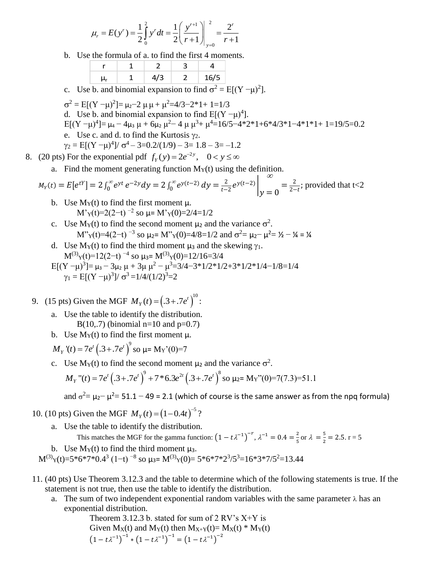$$
\mu_r = E(y^r) = \frac{1}{2} \int_0^2 y^r dt = \frac{1}{2} \left( \frac{y^{r+1}}{r+1} \right) \Big|_{y=0}^2 = \frac{2^r}{r+1}
$$

b. Use the formula of a. to find the first 4 moments.

|  |  | 6/5 |
|--|--|-----|

c. Use b. and binomial expansion to find  $\sigma^2 = E[(Y - \mu)^2]$ .

 $\sigma^2 = E[(Y - \mu)^2] = \mu_2 - 2 \mu \mu + \mu^2 = 4/3 - 2 \cdot 1 + 1 = 1/3$ d. Use b. and binomial expansion to find  $E[(Y - \mu)^4]$ . E[(Y −μ)<sup>4</sup>]= μ<sub>4</sub> – 4μ<sub>3</sub> μ + 6μ<sub>2</sub> μ<sup>2</sup>− 4 μ μ<sup>3</sup>+ μ<sup>4</sup>=16/5−4\*2\*1+6\*4/3\*1−4\*1\*1+ 1=19/5=0.2 e. Use c. and d. to find the Kurtosis  $\gamma_2$ .  $\gamma_2 = E[(Y - \mu)^4]/\sigma^4 - 3 = 0.2/(1/9) - 3 = 1.8 - 3 = -1.2$ 

- 8. (20 pts) For the exponential pdf  $f_y(y) = 2e^{-2y}$ ,  $0 < y \le \infty$ 
	- a. Find the moment generating function  $M_Y(t)$  using the definition.

$$
M_Y(t) = E[e^{tY}] = 2 \int_0^\infty e^{yt} e^{-2y} dy = 2 \int_0^\infty e^{y(t-2)} dy = \frac{2}{t-2} e^{y(t-2)} \bigg|_y = 0 = \frac{2}{2-t};
$$
 provided that  $t < 2$ 

- b. Use  $M_Y(t)$  to find the first moment  $\mu$ . M'<sub>Y</sub>(t)=2(2-t)<sup>-2</sup> so  $\mu$ = M'<sub>Y</sub>(0)=2/4=1/2
- c. Use  $M_Y(t)$  to find the second moment  $\mu_2$  and the variance  $\sigma^2$ . M"<sub>Y</sub>(t)=4(2-t)<sup>-3</sup> so  $\mu_2$ = M"<sub>Y</sub>(0)=4/8=1/2 and  $\sigma^2 = \mu_2 - \mu^2 = \frac{1}{2} - \frac{1}{4} = \frac{1}{4}$
- d. Use  $M_Y(t)$  to find the third moment  $\mu_3$  and the skewing  $\gamma_1$ .  $M^{(3)}(t) = 12(2-t)^{-4}$  so  $\mu_3 = M^{(3)}(0) = 12/16 = 3/4$  $E[(Y - \mu)^3] = \mu_3 - 3\mu_2 \mu + 3\mu \mu^2 - \mu^3 = 3/4 - 3 \cdot 1/2 \cdot 1/2 + 3 \cdot 1/2 \cdot 1/4 - 1/8 = 1/4$  $\gamma_1 = E[(Y - \mu)^3]/\sigma^3 = 1/4/(1/2)^3 = 2$
- 9. (15 pts) Given the MGF  $M_Y(t) = (0.3 + 0.7e^t)^{10}$ :
	- a. Use the table to identify the distribution.  $B(10,7)$  (binomial n=10 and p=0.7)
	- b. Use  $M_Y(t)$  to find the first moment  $\mu$ .

 $M_Y$ '(t) = 7e'  $(0.3 + 0.7e^t)^9$  so  $\mu$ = M<sub>Y</sub>'(0)=7

c. Use  $M_Y(t)$  to find the second moment  $\mu_2$  and the variance  $\sigma^2$ .

$$
M_Y''(t) = 7e^t \left( .3 + .7e^t \right)^9 + 7 * 6.3e^{2t} \left( .3 + .7e^t \right)^8 \text{ so } \mu_2 = M_Y''(0) = 7(7.3) = 51.1
$$

and  $\sigma^2 = \mu_2 - \mu^2 = 51.1 - 49 = 2.1$  (which of course is the same answer as from the npq formula)

- 10. (10 pts) Given the MGF  $M_Y(t) = (1 0.4t)^{-5}$ ?
	- a. Use the table to identify the distribution.

This matches the MGF for the gamma function:  $(1 - t\lambda^{-1})^{-r}$ ,  $\lambda^{-1} = 0.4 = \frac{2}{5}$  $rac{2}{5}$  or  $\lambda = \frac{5}{2}$  $\frac{3}{2}$  = 2.5. r = 5

b. Use  $M_Y(t)$  to find the third moment  $\mu_3$ .

 $M^{(3)}(t) = 5*6*7*0.4^3 (1-t)^{-8}$  so  $\mu_3 = M^{(3)}(0) = 5*6*7*2^3/5^3 = 16*3*7/5^2 = 13.44$ 

- 11. (40 pts) Use Theorem 3.12.3 and the table to determine which of the following statements is true. If the statement is not true, then use the table to identify the distribution.
	- a. The sum of two independent exponential random variables with the same parameter  $\lambda$  has an exponential distribution.

Theorem 3.12.3 b. stated for sum of  $2$  RV's  $X+Y$  is Given  $M_X(t)$  and  $M_Y(t)$  then  $M_{X+Y}(t) = M_X(t) * M_Y(t)$  $(1 - t\lambda^{-1})^{-1} * (1 - t\lambda^{-1})^{-1} = (1 - t\lambda^{-1})^{-2}$